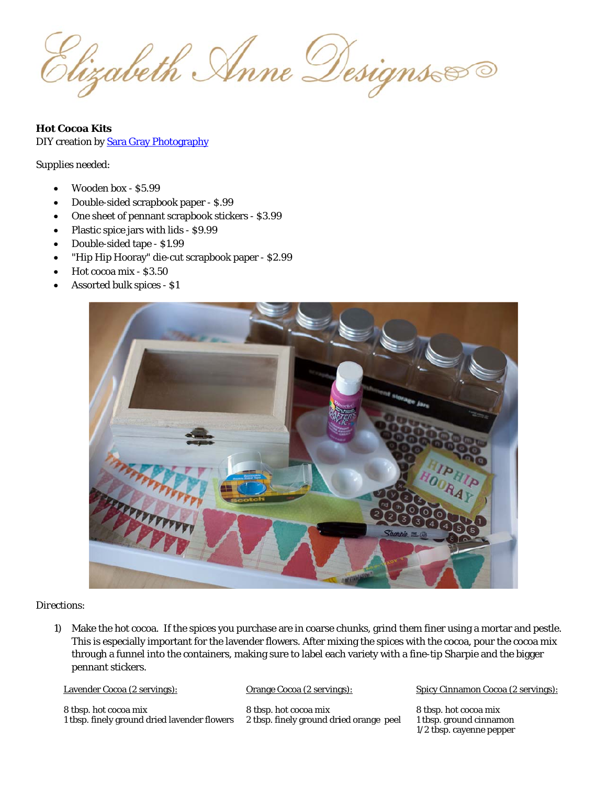Hizabeth Anne Designs

**Hot Cocoa Kits** DIY creation by **Sara Gray Photography** 

Supplies needed:

- Wooden box \$5.99
- Double-sided scrapbook paper \$.99
- One sheet of pennant scrapbook stickers \$3.99
- Plastic spice jars with lids \$9.99
- Double-sided tape \$1.99
- "Hip Hip Hooray" die-cut scrapbook paper \$2.99
- Hot cocoa mix \$3.50
- Assorted bulk spices \$1



Directions:

1) Make the hot cocoa. If the spices you purchase are in coarse chunks, grind them finer using a mortar and pestle. This is especially important for the lavender flowers. After mixing the spices with the cocoa, pour the cocoa mix through a funnel into the containers, making sure to label each variety with a fine-tip Sharpie and the bigger pennant stickers.

Lavender Cocoa (2 servings):

Orange Cocoa (2 servings):

8 tbsp. hot cocoa mix 1 tbsp. finely ground dried lavender flowers 8 tbsp. hot cocoa mix

2 tbsp. finely ground dried orange peel

Spicy Cinnamon Cocoa (2 servings):

8 tbsp. hot cocoa mix 1 tbsp. ground cinnamon  $1/2$  tbsp. cayenne pepper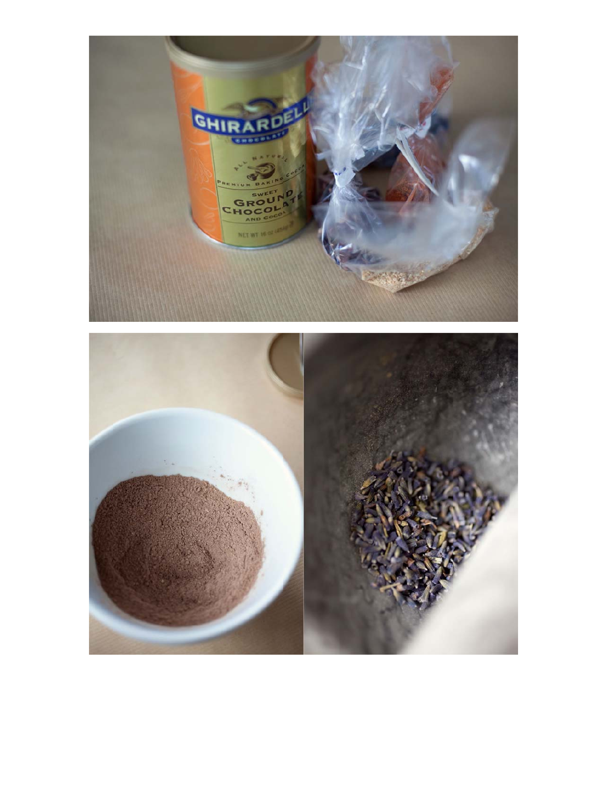

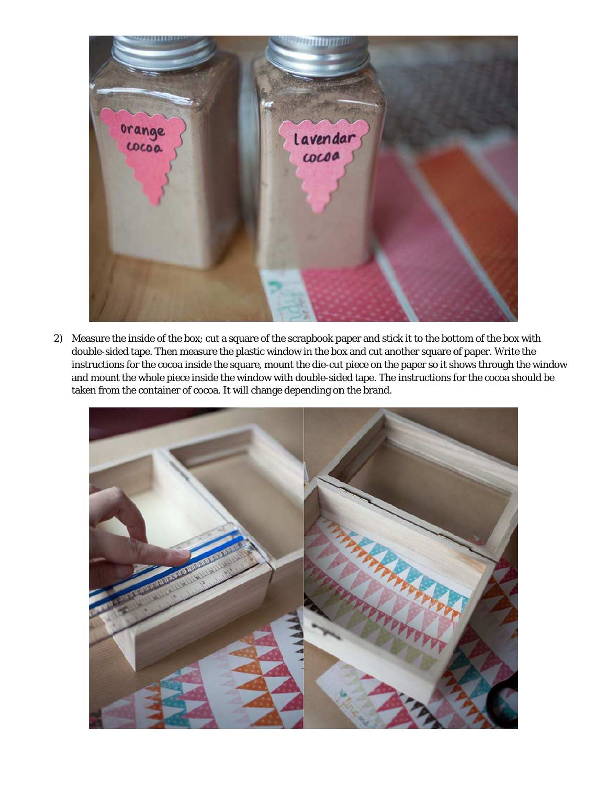

2) Measure the inside of the box; cut a square of the scrapbook paper and stick it to the bottom of the box with double-sided tape. Then measure the plastic window in the box and cut another square of paper. Write the instructions for the cocoa inside the square, mount the die-cut piece on the paper so it shows through the window and mount the whole piece inside the window with double-sided tape. The instructions for the cocoa should be taken from the container of cocoa. It will change depending on the brand.

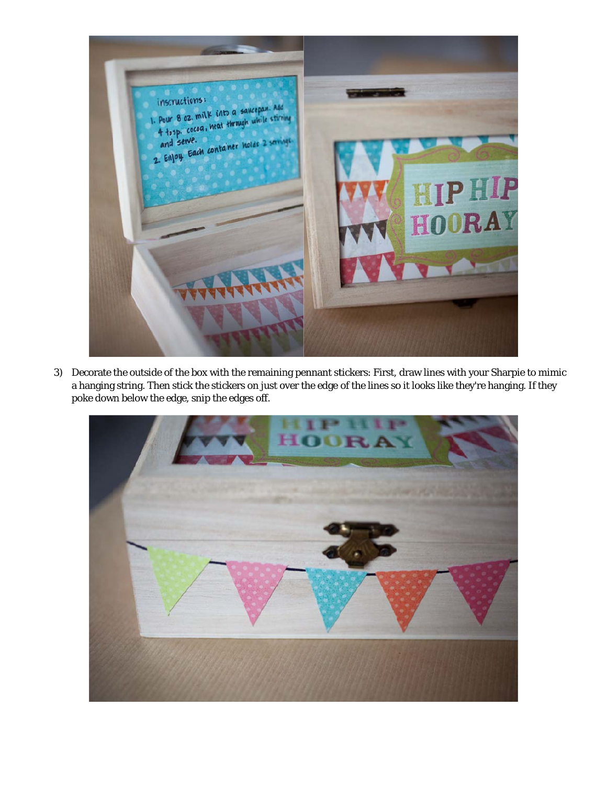

3) Decorate the outside of the box with the remaining pennant stickers: First, draw lines with your Sharpie to mimic a hanging string. Then stick the stickers on just over the edge of the lines so it looks like they're hanging. If they poke dow wn below the e edge, snip the edges off.